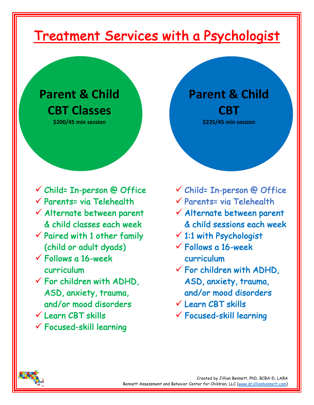# Treatment Services with a Psychologist

## **Parent & Child CBT Classes**

**\$200/45 min session**

- $\checkmark$  Child= In-person @ Office
- $\checkmark$  Parents= via Telehealth
- $\checkmark$  Alternate between parent & child classes each week
- $\checkmark$  Paired with 1 other family (child or adult dyads)
- $\checkmark$  Follows a 16-week curriculum
- $\checkmark$  For children with ADHD, ASD, anxiety, trauma, and/or mood disorders
- $V$  Learn CBT skills
- ü Focused-skill learning

**Parent & Child CBT \$225/45 min session**

- $\checkmark$  Child= In-person @ Office
- $\checkmark$  Parents= via Telehealth
- $\checkmark$  Alternate between parent & child sessions each week
- $\times$  1:1 with Psychologist
- $\checkmark$  Follows a 16-week curriculum
- $\checkmark$  For children with ADHD, ASD, anxiety, trauma, and/or mood disorders
- $V$  Learn CBT skills
- $\checkmark$  Focused-skill learning

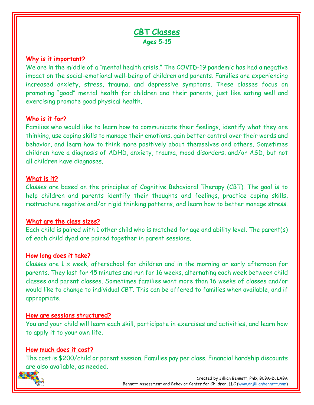### CBT Classes Ages 5-15

#### Why is it important?

We are in the middle of a "mental health crisis." The COVID-19 pandemic has had a negative impact on the social-emotional well-being of children and parents. Families are experiencing increased anxiety, stress, trauma, and depressive symptoms. These classes focus on promoting "good" mental health for children and their parents, just like eating well and exercising promote good physical health.

#### Who is it for?

Families who would like to learn how to communicate their feelings, identify what they are thinking, use coping skills to manage their emotions, gain better control over their words and behavior, and learn how to think more positively about themselves and others. Sometimes children have a diagnosis of ADHD, anxiety, trauma, mood disorders, and/or ASD, but not all children have diagnoses.

#### What is it?

Classes are based on the principles of Cognitive Behavioral Therapy (CBT). The goal is to help children and parents identify their thoughts and feelings, practice coping skills, restructure negative and/or rigid thinking patterns, and learn how to better manage stress.

#### What are the class sizes?

Each child is paired with 1 other child who is matched for age and ability level. The parent(s) of each child dyad are paired together in parent sessions.

#### How long does it take?

Classes are 1 x week, afterschool for children and in the morning or early afternoon for parents. They last for 45 minutes and run for 16 weeks, alternating each week between child classes and parent classes. Sometimes families want more than 16 weeks of classes and/or would like to change to individual CBT. This can be offered to families when available, and if appropriate.

#### How are sessions structured?

You and your child will learn each skill, participate in exercises and activities, and learn how to apply it to your own life.

#### How much does it cost?

The cost is \$200/child or parent session. Families pay per class. Financial hardship discounts are also available, as needed.

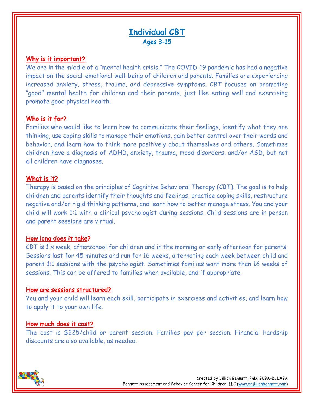## Individual CBT Ages 3-15

#### Why is it important?

We are in the middle of a "mental health crisis." The COVID-19 pandemic has had a negative impact on the social-emotional well-being of children and parents. Families are experiencing increased anxiety, stress, trauma, and depressive symptoms. CBT focuses on promoting "good" mental health for children and their parents, just like eating well and exercising promote good physical health.

#### Who is it for?

Families who would like to learn how to communicate their feelings, identify what they are thinking, use coping skills to manage their emotions, gain better control over their words and behavior, and learn how to think more positively about themselves and others. Sometimes children have a diagnosis of ADHD, anxiety, trauma, mood disorders, and/or ASD, but not all children have diagnoses.

#### What is it?

Therapy is based on the principles of Cognitive Behavioral Therapy (CBT). The goal is to help children and parents identify their thoughts and feelings, practice coping skills, restructure negative and/or rigid thinking patterns, and learn how to better manage stress. You and your child will work 1:1 with a clinical psychologist during sessions. Child sessions are in person and parent sessions are virtual.

#### How long does it take?

CBT is 1 x week, afterschool for children and in the morning or early afternoon for parents. Sessions last for 45 minutes and run for 16 weeks, alternating each week between child and parent 1:1 sessions with the psychologist. Sometimes families want more than 16 weeks of sessions. This can be offered to families when available, and if appropriate.

#### How are sessions structured?

You and your child will learn each skill, participate in exercises and activities, and learn how to apply it to your own life.

#### How much does it cost?

The cost is \$225/child or parent session. Families pay per session. Financial hardship discounts are also available, as needed.